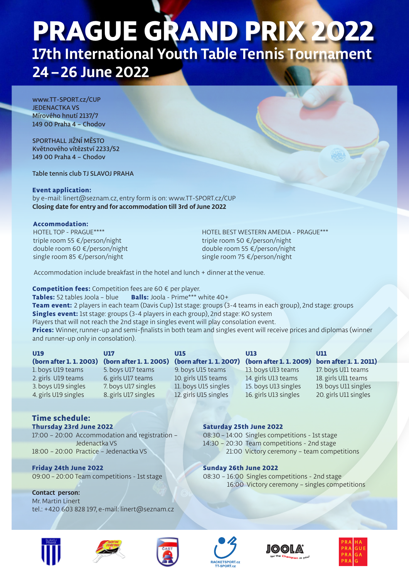# **PRAGUE GRAND PRIX 2022 17th International Youth Table Tennis Tournament 24 –26 June 2022**

www.TT-SPORT.cz/CUP JEDENACTKA VS Mírového hnutí 2137/7 149 00 Praha 4 – Chodov

SPORTHALL JIŽNÍ MĚSTO Květnového vítězství 2233/52 149 00 Praha 4 – Chodov

Table tennis club TJ SLAVOJ PRAHA

### **Event application:**

by e-mail: linert@seznam.cz, entry form is on: www.TT-SPORT.cz/CUP **Closing date for entry and for accommodation till 3rd of June 2022**

### **Accommodation:**

HOTEL TOP - PRAGUE\*\*\*\* triple room 55 €/person/night double room 60 €/person/night single room 85 €/person/night

HOTEL BEST WESTERN AMEDIA - PRAGUE\*\*\* triple room 50 €/person/night double room 55 €/person/night single room 75 €/person/night

Accommodation include breakfast in the hotel and lunch + dinner at the venue.

**Competition fees:** Competition fees are 60 € per player. **Tables:** 52 tables Joola – blue **Balls:** Joola - Prime\*\*\* white 40+ **Team event:** 2 players in each team (Davis Cup) 1st stage: groups (3-4 teams in each group), 2nd stage: groups **Singles event:** 1st stage: groups (3-4 players in each group), 2nd stage: KO system Players that will not reach the 2nd stage in singles event will play consolation event. **Prices:** Winner, runner-up and semi-finalists in both team and singles event will receive prices and diplomas (winner and runner-up only in consolation).

| U19                   | U17                 | U15                   | U13                                                               | UII                   |
|-----------------------|---------------------|-----------------------|-------------------------------------------------------------------|-----------------------|
| (born after 1.1.2003) |                     |                       | (born after 1.1.2005) (born after 1.1.2007) (born after 1.1.2009) | born after 1.1.2011)  |
| 1. boys U19 teams     | 5. boys U17 teams   | 9. boys U15 teams     | 13. boys U13 teams                                                | 17. boys U11 teams    |
| 2. girls U19 teams    | 6. girls U17 teams  | 10. girls U15 teams   | 14. girls U13 teams                                               | 18. girls U11 teams   |
| 3. boys U19 singles   | 7. boys U17 singles | 11. boys U15 singles  | 15. boys U13 singles                                              | 19. boys U11 singles  |
| 4. girls U19 singles  | 8.girls U17 singles | 12. girls U15 singles | 16. girls U13 singles                                             | 20. girls U11 singles |

# **Time schedule: Thursday 23rd June 2022**

17:00 – 20:00 Accommodation and registration – Jedenactka VS 18:00 – 20:00 Practice – Jedenactka VS

**Friday 24th June 2022**  09:00 – 20:00 Team competitions - 1st stage

## **Contact person:**  Mr. Martin Linert tel.: +420 603 828 197, e-mail: linert@seznam.cz







**Saturday 25th June 2022** 

**Sunday 26th June 2022** 

08:30 – 14:00 Singles competitions - 1st stage 14:30 – 20:30 Team competitions - 2nd stage

08:30 – 16:00 Singles competitions - 2nd stage

21:00 Victory ceremony – team competitions

16:00 Victory ceremony – singles competitions